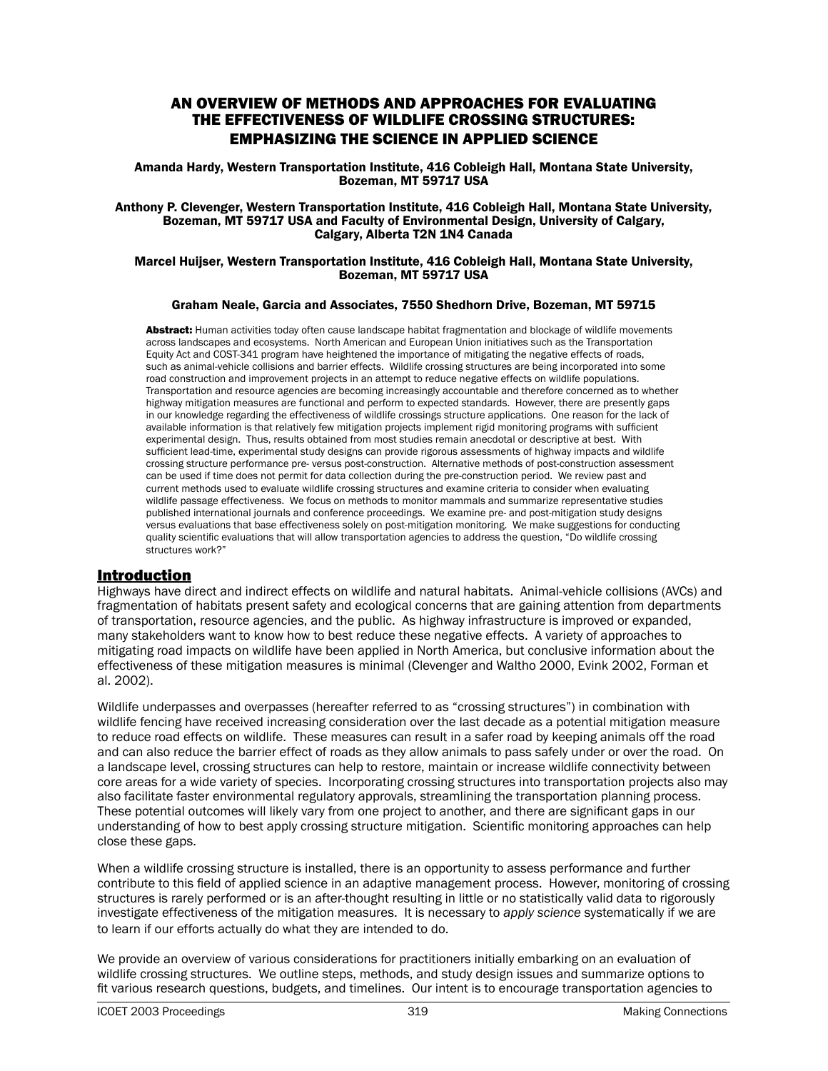# AN OVERVIEW OF METHODS AND APPROACHES FOR EVALUATING THE EFFECTIVENESS OF WILDLIFE CROSSING STRUCTURES: EMPHASIZING THE SCIENCE IN APPLIED SCIENCE

Amanda Hardy, Western Transportation Institute, 416 Cobleigh Hall, Montana State University, Bozeman, MT 59717 USA

#### Anthony P. Clevenger, Western Transportation Institute, 416 Cobleigh Hall, Montana State University, Bozeman, MT 59717 USA and Faculty of Environmental Design, University of Calgary, Calgary, Alberta T2N 1N4 Canada

#### Marcel Huijser, Western Transportation Institute, 416 Cobleigh Hall, Montana State University, Bozeman, MT 59717 USA

## Graham Neale, Garcia and Associates, 7550 Shedhorn Drive, Bozeman, MT 59715

Abstract: Human activities today often cause landscape habitat fragmentation and blockage of wildlife movements across landscapes and ecosystems. North American and European Union initiatives such as the Transportation Equity Act and COST-341 program have heightened the importance of mitigating the negative effects of roads, such as animal-vehicle collisions and barrier effects. Wildlife crossing structures are being incorporated into some road construction and improvement projects in an attempt to reduce negative effects on wildlife populations. Transportation and resource agencies are becoming increasingly accountable and therefore concerned as to whether highway mitigation measures are functional and perform to expected standards. However, there are presently gaps in our knowledge regarding the effectiveness of wildlife crossings structure applications. One reason for the lack of available information is that relatively few mitigation projects implement rigid monitoring programs with sufficient experimental design. Thus, results obtained from most studies remain anecdotal or descriptive at best. With sufficient lead-time, experimental study designs can provide rigorous assessments of highway impacts and wildlife crossing structure performance pre- versus post-construction. Alternative methods of post-construction assessment can be used if time does not permit for data collection during the pre-construction period. We review past and current methods used to evaluate wildlife crossing structures and examine criteria to consider when evaluating wildlife passage effectiveness. We focus on methods to monitor mammals and summarize representative studies published international journals and conference proceedings. We examine pre- and post-mitigation study designs versus evaluations that base effectiveness solely on post-mitigation monitoring. We make suggestions for conducting quality scientific evaluations that will allow transportation agencies to address the question, "Do wildlife crossing structures work?"

# Introduction

Highways have direct and indirect effects on wildlife and natural habitats. Animal-vehicle collisions (AVCs) and fragmentation of habitats present safety and ecological concerns that are gaining attention from departments of transportation, resource agencies, and the public. As highway infrastructure is improved or expanded, many stakeholders want to know how to best reduce these negative effects. A variety of approaches to mitigating road impacts on wildlife have been applied in North America, but conclusive information about the effectiveness of these mitigation measures is minimal (Clevenger and Waltho 2000, Evink 2002, Forman et al. 2002).

Wildlife underpasses and overpasses (hereafter referred to as "crossing structures") in combination with wildlife fencing have received increasing consideration over the last decade as a potential mitigation measure to reduce road effects on wildlife. These measures can result in a safer road by keeping animals off the road and can also reduce the barrier effect of roads as they allow animals to pass safely under or over the road. On a landscape level, crossing structures can help to restore, maintain or increase wildlife connectivity between core areas for a wide variety of species. Incorporating crossing structures into transportation projects also may also facilitate faster environmental regulatory approvals, streamlining the transportation planning process. These potential outcomes will likely vary from one project to another, and there are significant gaps in our understanding of how to best apply crossing structure mitigation. Scientific monitoring approaches can help close these gaps.

When a wildlife crossing structure is installed, there is an opportunity to assess performance and further contribute to this field of applied science in an adaptive management process. However, monitoring of crossing structures is rarely performed or is an after-thought resulting in little or no statistically valid data to rigorously investigate effectiveness of the mitigation measures. It is necessary to *apply science* systematically if we are to learn if our efforts actually do what they are intended to do.

We provide an overview of various considerations for practitioners initially embarking on an evaluation of wildlife crossing structures. We outline steps, methods, and study design issues and summarize options to fit various research questions, budgets, and timelines. Our intent is to encourage transportation agencies to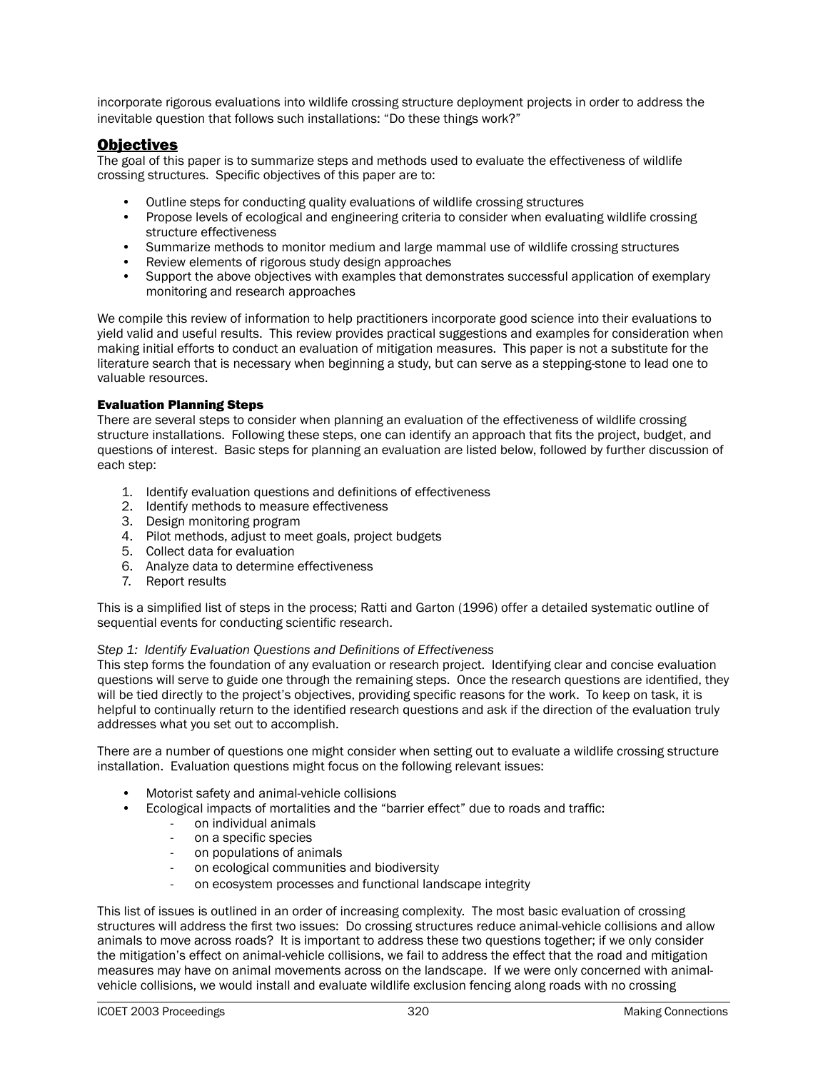incorporate rigorous evaluations into wildlife crossing structure deployment projects in order to address the inevitable question that follows such installations: "Do these things work?"

# **Objectives**

The goal of this paper is to summarize steps and methods used to evaluate the effectiveness of wildlife crossing structures. Specific objectives of this paper are to:

- Outline steps for conducting quality evaluations of wildlife crossing structures
- Propose levels of ecological and engineering criteria to consider when evaluating wildlife crossing structure effectiveness
- Summarize methods to monitor medium and large mammal use of wildlife crossing structures
- Review elements of rigorous study design approaches
- Support the above objectives with examples that demonstrates successful application of exemplary monitoring and research approaches

We compile this review of information to help practitioners incorporate good science into their evaluations to yield valid and useful results. This review provides practical suggestions and examples for consideration when making initial efforts to conduct an evaluation of mitigation measures. This paper is not a substitute for the literature search that is necessary when beginning a study, but can serve as a stepping-stone to lead one to valuable resources.

#### Evaluation Planning Steps

There are several steps to consider when planning an evaluation of the effectiveness of wildlife crossing structure installations. Following these steps, one can identify an approach that fits the project, budget, and questions of interest. Basic steps for planning an evaluation are listed below, followed by further discussion of each step:

- 1. Identify evaluation questions and definitions of effectiveness
- 2. Identify methods to measure effectiveness
- 3. Design monitoring program
- 4. Pilot methods, adjust to meet goals, project budgets
- 5. Collect data for evaluation
- 6. Analyze data to determine effectiveness
- 7. Report results

This is a simplified list of steps in the process; Ratti and Garton (1996) offer a detailed systematic outline of sequential events for conducting scientific research.

## *Step 1: Identify Evaluation Questions and Definitions of Effectiveness*

This step forms the foundation of any evaluation or research project. Identifying clear and concise evaluation questions will serve to guide one through the remaining steps. Once the research questions are identified, they will be tied directly to the project's objectives, providing specific reasons for the work. To keep on task, it is helpful to continually return to the identified research questions and ask if the direction of the evaluation truly addresses what you set out to accomplish.

There are a number of questions one might consider when setting out to evaluate a wildlife crossing structure installation. Evaluation questions might focus on the following relevant issues:

- Motorist safety and animal-vehicle collisions
- Ecological impacts of mortalities and the "barrier effect" due to roads and traffic:
	- on individual animals
	- on a specific species
	- on populations of animals
	- on ecological communities and biodiversity
	- on ecosystem processes and functional landscape integrity

This list of issues is outlined in an order of increasing complexity. The most basic evaluation of crossing structures will address the first two issues: Do crossing structures reduce animal-vehicle collisions and allow animals to move across roads? It is important to address these two questions together; if we only consider the mitigation's effect on animal-vehicle collisions, we fail to address the effect that the road and mitigation measures may have on animal movements across on the landscape. If we were only concerned with animalvehicle collisions, we would install and evaluate wildlife exclusion fencing along roads with no crossing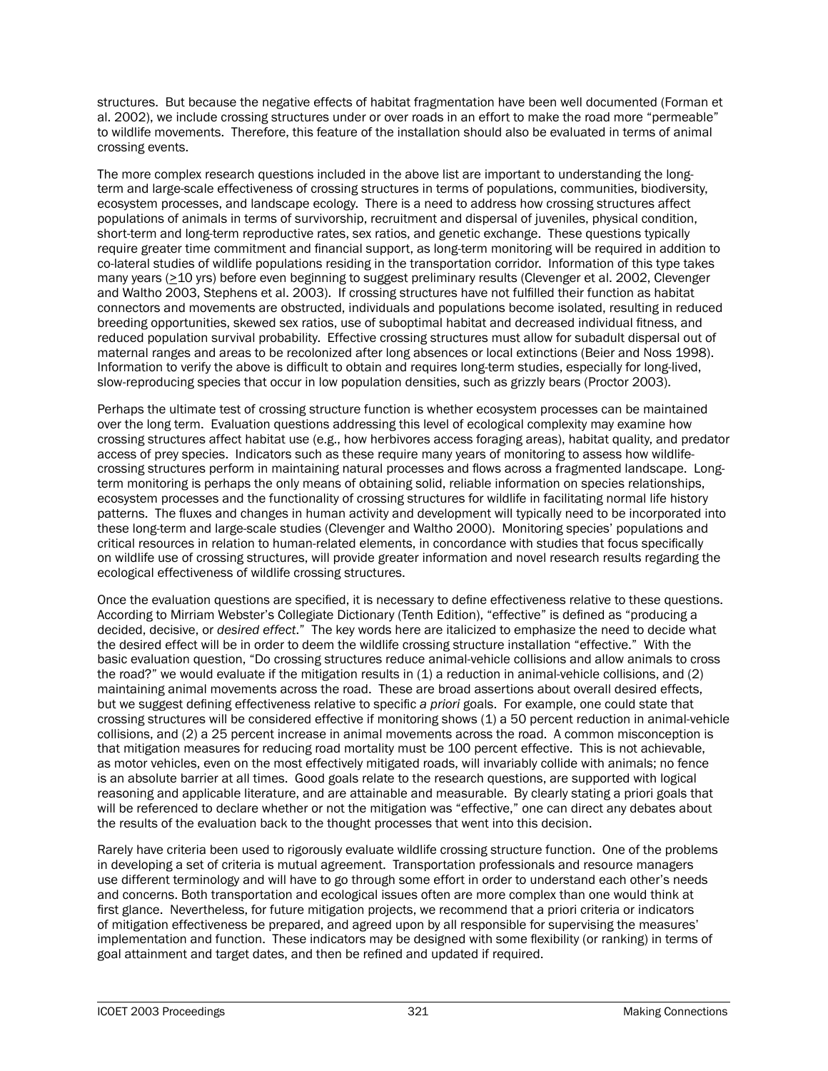structures. But because the negative effects of habitat fragmentation have been well documented (Forman et al. 2002), we include crossing structures under or over roads in an effort to make the road more "permeable" to wildlife movements. Therefore, this feature of the installation should also be evaluated in terms of animal crossing events.

The more complex research questions included in the above list are important to understanding the longterm and large-scale effectiveness of crossing structures in terms of populations, communities, biodiversity, ecosystem processes, and landscape ecology. There is a need to address how crossing structures affect populations of animals in terms of survivorship, recruitment and dispersal of juveniles, physical condition, short-term and long-term reproductive rates, sex ratios, and genetic exchange. These questions typically require greater time commitment and financial support, as long-term monitoring will be required in addition to co-lateral studies of wildlife populations residing in the transportation corridor. Information of this type takes many years (>10 yrs) before even beginning to suggest preliminary results (Clevenger et al. 2002, Clevenger and Waltho 2003, Stephens et al. 2003). If crossing structures have not fulfilled their function as habitat connectors and movements are obstructed, individuals and populations become isolated, resulting in reduced breeding opportunities, skewed sex ratios, use of suboptimal habitat and decreased individual fitness, and reduced population survival probability. Effective crossing structures must allow for subadult dispersal out of maternal ranges and areas to be recolonized after long absences or local extinctions (Beier and Noss 1998). Information to verify the above is difficult to obtain and requires long-term studies, especially for long-lived, slow-reproducing species that occur in low population densities, such as grizzly bears (Proctor 2003).

Perhaps the ultimate test of crossing structure function is whether ecosystem processes can be maintained over the long term. Evaluation questions addressing this level of ecological complexity may examine how crossing structures affect habitat use (e.g., how herbivores access foraging areas), habitat quality, and predator access of prey species. Indicators such as these require many years of monitoring to assess how wildlifecrossing structures perform in maintaining natural processes and flows across a fragmented landscape. Longterm monitoring is perhaps the only means of obtaining solid, reliable information on species relationships, ecosystem processes and the functionality of crossing structures for wildlife in facilitating normal life history patterns. The fluxes and changes in human activity and development will typically need to be incorporated into these long-term and large-scale studies (Clevenger and Waltho 2000). Monitoring species' populations and critical resources in relation to human-related elements, in concordance with studies that focus specifically on wildlife use of crossing structures, will provide greater information and novel research results regarding the ecological effectiveness of wildlife crossing structures.

Once the evaluation questions are specified, it is necessary to define effectiveness relative to these questions. According to Mirriam Webster's Collegiate Dictionary (Tenth Edition), "effective" is defined as "producing a decided, decisive, or *desired effect*." The key words here are italicized to emphasize the need to decide what the desired effect will be in order to deem the wildlife crossing structure installation "effective." With the basic evaluation question, "Do crossing structures reduce animal-vehicle collisions and allow animals to cross the road?" we would evaluate if the mitigation results in (1) a reduction in animal-vehicle collisions, and (2) maintaining animal movements across the road. These are broad assertions about overall desired effects, but we suggest defining effectiveness relative to specific *a priori* goals. For example, one could state that crossing structures will be considered effective if monitoring shows (1) a 50 percent reduction in animal-vehicle collisions, and (2) a 25 percent increase in animal movements across the road. A common misconception is that mitigation measures for reducing road mortality must be 100 percent effective. This is not achievable, as motor vehicles, even on the most effectively mitigated roads, will invariably collide with animals; no fence is an absolute barrier at all times. Good goals relate to the research questions, are supported with logical reasoning and applicable literature, and are attainable and measurable. By clearly stating a priori goals that will be referenced to declare whether or not the mitigation was "effective," one can direct any debates about the results of the evaluation back to the thought processes that went into this decision.

Rarely have criteria been used to rigorously evaluate wildlife crossing structure function. One of the problems in developing a set of criteria is mutual agreement. Transportation professionals and resource managers use different terminology and will have to go through some effort in order to understand each other's needs and concerns. Both transportation and ecological issues often are more complex than one would think at first glance. Nevertheless, for future mitigation projects, we recommend that a priori criteria or indicators of mitigation effectiveness be prepared, and agreed upon by all responsible for supervising the measures' implementation and function. These indicators may be designed with some flexibility (or ranking) in terms of goal attainment and target dates, and then be refined and updated if required.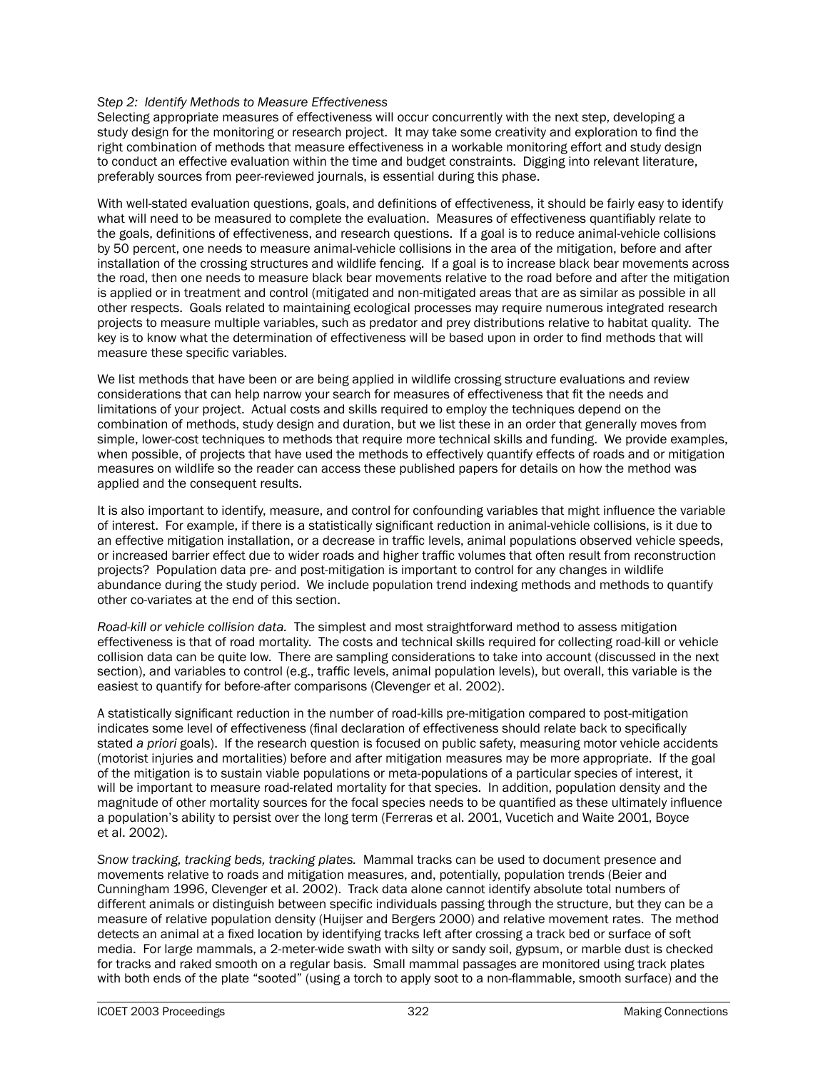## *Step 2: Identify Methods to Measure Effectiveness*

Selecting appropriate measures of effectiveness will occur concurrently with the next step, developing a study design for the monitoring or research project. It may take some creativity and exploration to find the right combination of methods that measure effectiveness in a workable monitoring effort and study design to conduct an effective evaluation within the time and budget constraints. Digging into relevant literature, preferably sources from peer-reviewed journals, is essential during this phase.

With well-stated evaluation questions, goals, and definitions of effectiveness, it should be fairly easy to identify what will need to be measured to complete the evaluation. Measures of effectiveness quantifiably relate to the goals, definitions of effectiveness, and research questions. If a goal is to reduce animal-vehicle collisions by 50 percent, one needs to measure animal-vehicle collisions in the area of the mitigation, before and after installation of the crossing structures and wildlife fencing. If a goal is to increase black bear movements across the road, then one needs to measure black bear movements relative to the road before and after the mitigation is applied or in treatment and control (mitigated and non-mitigated areas that are as similar as possible in all other respects. Goals related to maintaining ecological processes may require numerous integrated research projects to measure multiple variables, such as predator and prey distributions relative to habitat quality. The key is to know what the determination of effectiveness will be based upon in order to find methods that will measure these specific variables.

We list methods that have been or are being applied in wildlife crossing structure evaluations and review considerations that can help narrow your search for measures of effectiveness that fit the needs and limitations of your project. Actual costs and skills required to employ the techniques depend on the combination of methods, study design and duration, but we list these in an order that generally moves from simple, lower-cost techniques to methods that require more technical skills and funding. We provide examples, when possible, of projects that have used the methods to effectively quantify effects of roads and or mitigation measures on wildlife so the reader can access these published papers for details on how the method was applied and the consequent results.

It is also important to identify, measure, and control for confounding variables that might influence the variable of interest. For example, if there is a statistically significant reduction in animal-vehicle collisions, is it due to an effective mitigation installation, or a decrease in traffic levels, animal populations observed vehicle speeds, or increased barrier effect due to wider roads and higher traffic volumes that often result from reconstruction projects? Population data pre- and post-mitigation is important to control for any changes in wildlife abundance during the study period. We include population trend indexing methods and methods to quantify other co-variates at the end of this section.

*Road-kill or vehicle collision data.* The simplest and most straightforward method to assess mitigation effectiveness is that of road mortality. The costs and technical skills required for collecting road-kill or vehicle collision data can be quite low. There are sampling considerations to take into account (discussed in the next section), and variables to control (e.g., traffic levels, animal population levels), but overall, this variable is the easiest to quantify for before-after comparisons (Clevenger et al. 2002).

A statistically significant reduction in the number of road-kills pre-mitigation compared to post-mitigation indicates some level of effectiveness (final declaration of effectiveness should relate back to specifically stated *a priori* goals). If the research question is focused on public safety, measuring motor vehicle accidents (motorist injuries and mortalities) before and after mitigation measures may be more appropriate. If the goal of the mitigation is to sustain viable populations or meta-populations of a particular species of interest, it will be important to measure road-related mortality for that species. In addition, population density and the magnitude of other mortality sources for the focal species needs to be quantified as these ultimately influence a population's ability to persist over the long term (Ferreras et al. 2001, Vucetich and Waite 2001, Boyce et al. 2002).

*Snow tracking, tracking beds, tracking plates.* Mammal tracks can be used to document presence and movements relative to roads and mitigation measures, and, potentially, population trends (Beier and Cunningham 1996, Clevenger et al. 2002). Track data alone cannot identify absolute total numbers of different animals or distinguish between specific individuals passing through the structure, but they can be a measure of relative population density (Huijser and Bergers 2000) and relative movement rates. The method detects an animal at a fixed location by identifying tracks left after crossing a track bed or surface of soft media. For large mammals, a 2-meter-wide swath with silty or sandy soil, gypsum, or marble dust is checked for tracks and raked smooth on a regular basis. Small mammal passages are monitored using track plates with both ends of the plate "sooted" (using a torch to apply soot to a non-flammable, smooth surface) and the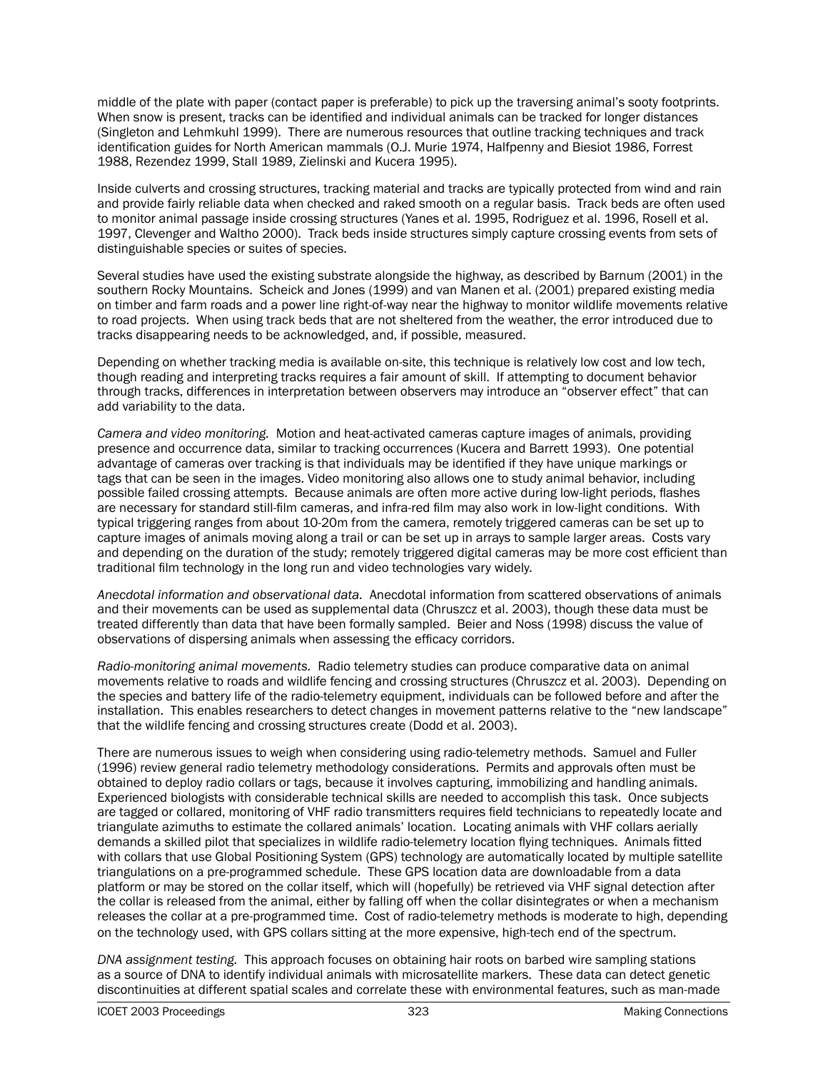middle of the plate with paper (contact paper is preferable) to pick up the traversing animal's sooty footprints. When snow is present, tracks can be identified and individual animals can be tracked for longer distances (Singleton and Lehmkuhl 1999). There are numerous resources that outline tracking techniques and track identification guides for North American mammals (O.J. Murie 1974, Halfpenny and Biesiot 1986, Forrest 1988, Rezendez 1999, Stall 1989, Zielinski and Kucera 1995).

Inside culverts and crossing structures, tracking material and tracks are typically protected from wind and rain and provide fairly reliable data when checked and raked smooth on a regular basis. Track beds are often used to monitor animal passage inside crossing structures (Yanes et al. 1995, Rodriguez et al. 1996, Rosell et al. 1997, Clevenger and Waltho 2000). Track beds inside structures simply capture crossing events from sets of distinguishable species or suites of species.

Several studies have used the existing substrate alongside the highway, as described by Barnum (2001) in the southern Rocky Mountains. Scheick and Jones (1999) and van Manen et al. (2001) prepared existing media on timber and farm roads and a power line right-of-way near the highway to monitor wildlife movements relative to road projects. When using track beds that are not sheltered from the weather, the error introduced due to tracks disappearing needs to be acknowledged, and, if possible, measured.

Depending on whether tracking media is available on-site, this technique is relatively low cost and low tech, though reading and interpreting tracks requires a fair amount of skill. If attempting to document behavior through tracks, differences in interpretation between observers may introduce an "observer effect" that can add variability to the data.

*Camera and video monitoring.* Motion and heat-activated cameras capture images of animals, providing presence and occurrence data, similar to tracking occurrences (Kucera and Barrett 1993). One potential advantage of cameras over tracking is that individuals may be identified if they have unique markings or tags that can be seen in the images. Video monitoring also allows one to study animal behavior, including possible failed crossing attempts. Because animals are often more active during low-light periods, flashes are necessary for standard still-film cameras, and infra-red film may also work in low-light conditions. With typical triggering ranges from about 10-20m from the camera, remotely triggered cameras can be set up to capture images of animals moving along a trail or can be set up in arrays to sample larger areas. Costs vary and depending on the duration of the study; remotely triggered digital cameras may be more cost efficient than traditional film technology in the long run and video technologies vary widely.

*Anecdotal information and observational data.* Anecdotal information from scattered observations of animals and their movements can be used as supplemental data (Chruszcz et al. 2003), though these data must be treated differently than data that have been formally sampled. Beier and Noss (1998) discuss the value of observations of dispersing animals when assessing the efficacy corridors.

*Radio-monitoring animal movements.* Radio telemetry studies can produce comparative data on animal movements relative to roads and wildlife fencing and crossing structures (Chruszcz et al. 2003). Depending on the species and battery life of the radio-telemetry equipment, individuals can be followed before and after the installation. This enables researchers to detect changes in movement patterns relative to the "new landscape" that the wildlife fencing and crossing structures create (Dodd et al. 2003).

There are numerous issues to weigh when considering using radio-telemetry methods. Samuel and Fuller (1996) review general radio telemetry methodology considerations. Permits and approvals often must be obtained to deploy radio collars or tags, because it involves capturing, immobilizing and handling animals. Experienced biologists with considerable technical skills are needed to accomplish this task. Once subjects are tagged or collared, monitoring of VHF radio transmitters requires field technicians to repeatedly locate and triangulate azimuths to estimate the collared animals' location. Locating animals with VHF collars aerially demands a skilled pilot that specializes in wildlife radio-telemetry location flying techniques. Animals fitted with collars that use Global Positioning System (GPS) technology are automatically located by multiple satellite triangulations on a pre-programmed schedule. These GPS location data are downloadable from a data platform or may be stored on the collar itself, which will (hopefully) be retrieved via VHF signal detection after the collar is released from the animal, either by falling off when the collar disintegrates or when a mechanism releases the collar at a pre-programmed time. Cost of radio-telemetry methods is moderate to high, depending on the technology used, with GPS collars sitting at the more expensive, high-tech end of the spectrum.

*DNA assignment testing.* This approach focuses on obtaining hair roots on barbed wire sampling stations as a source of DNA to identify individual animals with microsatellite markers. These data can detect genetic discontinuities at different spatial scales and correlate these with environmental features, such as man-made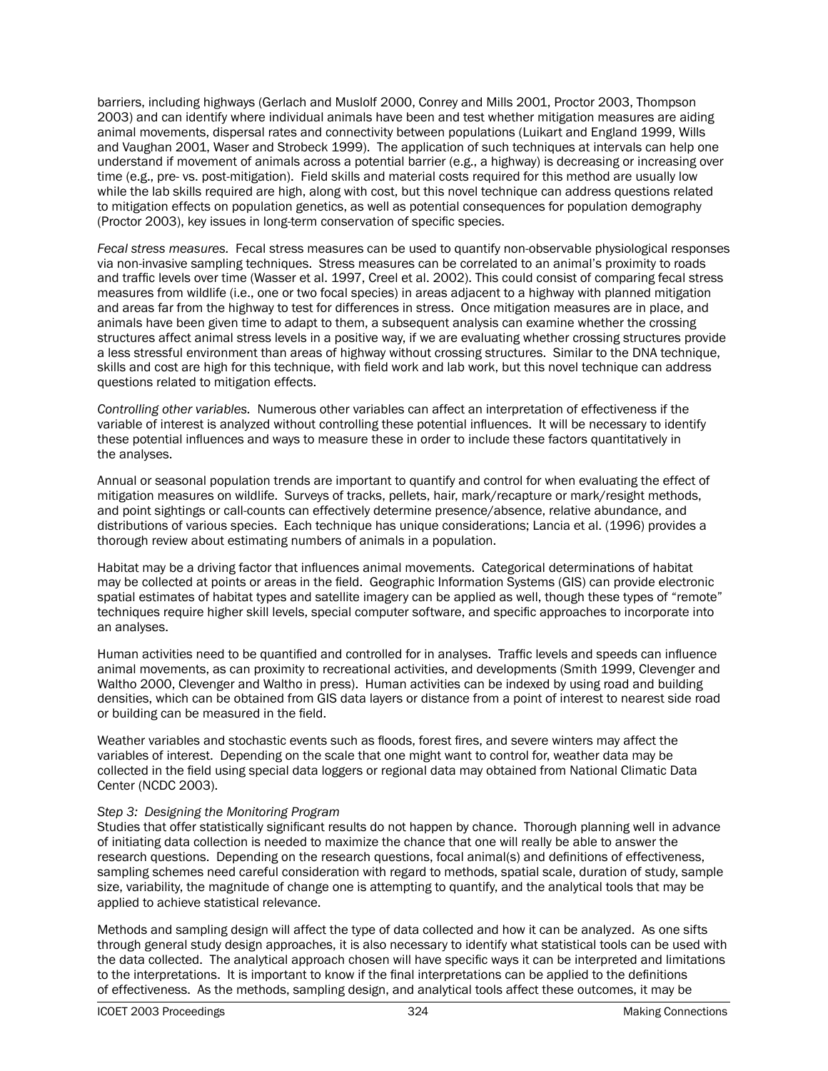barriers, including highways (Gerlach and Muslolf 2000, Conrey and Mills 2001, Proctor 2003, Thompson 2003) and can identify where individual animals have been and test whether mitigation measures are aiding animal movements, dispersal rates and connectivity between populations (Luikart and England 1999, Wills and Vaughan 2001, Waser and Strobeck 1999). The application of such techniques at intervals can help one understand if movement of animals across a potential barrier (e.g., a highway) is decreasing or increasing over time (e.g., pre- vs. post-mitigation). Field skills and material costs required for this method are usually low while the lab skills required are high, along with cost, but this novel technique can address questions related to mitigation effects on population genetics, as well as potential consequences for population demography (Proctor 2003), key issues in long-term conservation of specific species.

*Fecal stress measures.* Fecal stress measures can be used to quantify non-observable physiological responses via non-invasive sampling techniques. Stress measures can be correlated to an animal's proximity to roads and traffic levels over time (Wasser et al. 1997, Creel et al. 2002). This could consist of comparing fecal stress measures from wildlife (i.e., one or two focal species) in areas adjacent to a highway with planned mitigation and areas far from the highway to test for differences in stress. Once mitigation measures are in place, and animals have been given time to adapt to them, a subsequent analysis can examine whether the crossing structures affect animal stress levels in a positive way, if we are evaluating whether crossing structures provide a less stressful environment than areas of highway without crossing structures. Similar to the DNA technique, skills and cost are high for this technique, with field work and lab work, but this novel technique can address questions related to mitigation effects.

*Controlling other variables.* Numerous other variables can affect an interpretation of effectiveness if the variable of interest is analyzed without controlling these potential influences. It will be necessary to identify these potential influences and ways to measure these in order to include these factors quantitatively in the analyses.

Annual or seasonal population trends are important to quantify and control for when evaluating the effect of mitigation measures on wildlife. Surveys of tracks, pellets, hair, mark/recapture or mark/resight methods, and point sightings or call-counts can effectively determine presence/absence, relative abundance, and distributions of various species. Each technique has unique considerations; Lancia et al. (1996) provides a thorough review about estimating numbers of animals in a population.

Habitat may be a driving factor that influences animal movements. Categorical determinations of habitat may be collected at points or areas in the field. Geographic Information Systems (GIS) can provide electronic spatial estimates of habitat types and satellite imagery can be applied as well, though these types of "remote" techniques require higher skill levels, special computer software, and specific approaches to incorporate into an analyses.

Human activities need to be quantified and controlled for in analyses. Traffic levels and speeds can influence animal movements, as can proximity to recreational activities, and developments (Smith 1999, Clevenger and Waltho 2000, Clevenger and Waltho in press). Human activities can be indexed by using road and building densities, which can be obtained from GIS data layers or distance from a point of interest to nearest side road or building can be measured in the field.

Weather variables and stochastic events such as floods, forest fires, and severe winters may affect the variables of interest. Depending on the scale that one might want to control for, weather data may be collected in the field using special data loggers or regional data may obtained from National Climatic Data Center (NCDC 2003).

## *Step 3: Designing the Monitoring Program*

Studies that offer statistically significant results do not happen by chance. Thorough planning well in advance of initiating data collection is needed to maximize the chance that one will really be able to answer the research questions. Depending on the research questions, focal animal(s) and definitions of effectiveness, sampling schemes need careful consideration with regard to methods, spatial scale, duration of study, sample size, variability, the magnitude of change one is attempting to quantify, and the analytical tools that may be applied to achieve statistical relevance.

Methods and sampling design will affect the type of data collected and how it can be analyzed. As one sifts through general study design approaches, it is also necessary to identify what statistical tools can be used with the data collected. The analytical approach chosen will have specific ways it can be interpreted and limitations to the interpretations. It is important to know if the final interpretations can be applied to the definitions of effectiveness. As the methods, sampling design, and analytical tools affect these outcomes, it may be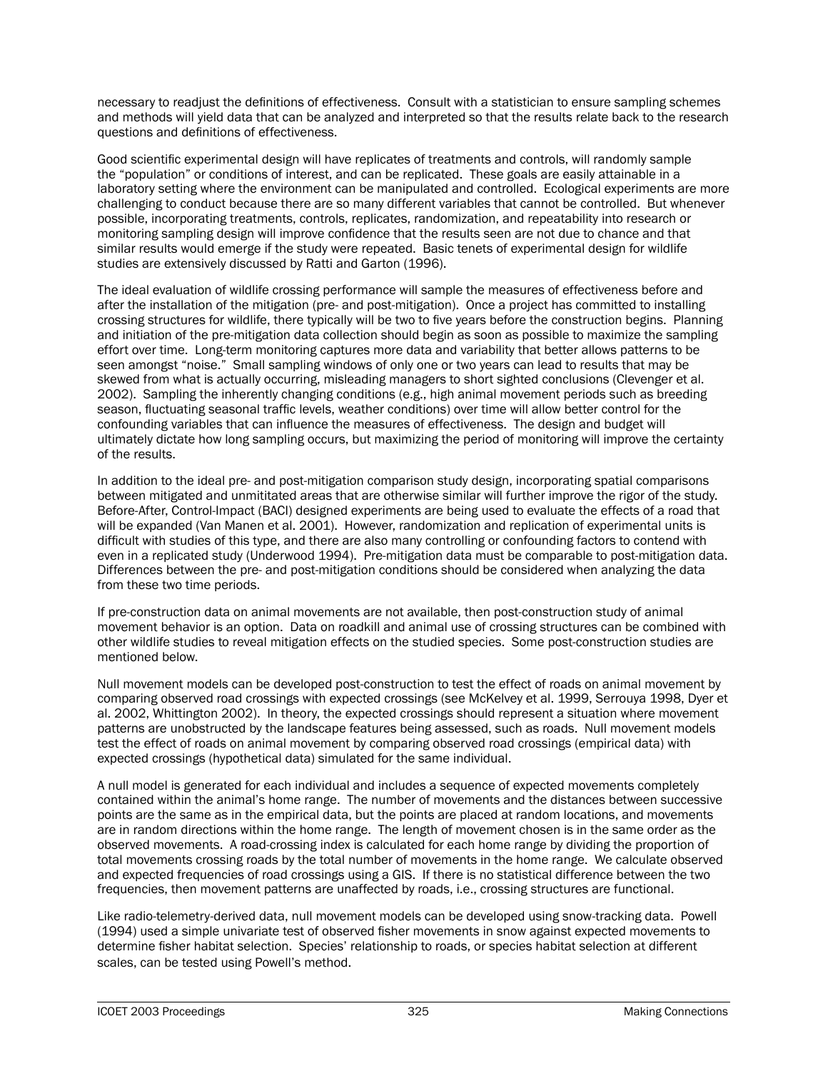necessary to readjust the definitions of effectiveness. Consult with a statistician to ensure sampling schemes and methods will yield data that can be analyzed and interpreted so that the results relate back to the research questions and definitions of effectiveness.

Good scientific experimental design will have replicates of treatments and controls, will randomly sample the "population" or conditions of interest, and can be replicated. These goals are easily attainable in a laboratory setting where the environment can be manipulated and controlled. Ecological experiments are more challenging to conduct because there are so many different variables that cannot be controlled. But whenever possible, incorporating treatments, controls, replicates, randomization, and repeatability into research or monitoring sampling design will improve confidence that the results seen are not due to chance and that similar results would emerge if the study were repeated. Basic tenets of experimental design for wildlife studies are extensively discussed by Ratti and Garton (1996).

The ideal evaluation of wildlife crossing performance will sample the measures of effectiveness before and after the installation of the mitigation (pre- and post-mitigation). Once a project has committed to installing crossing structures for wildlife, there typically will be two to five years before the construction begins. Planning and initiation of the pre-mitigation data collection should begin as soon as possible to maximize the sampling effort over time. Long-term monitoring captures more data and variability that better allows patterns to be seen amongst "noise." Small sampling windows of only one or two years can lead to results that may be skewed from what is actually occurring, misleading managers to short sighted conclusions (Clevenger et al. 2002). Sampling the inherently changing conditions (e.g., high animal movement periods such as breeding season, fluctuating seasonal traffic levels, weather conditions) over time will allow better control for the confounding variables that can influence the measures of effectiveness. The design and budget will ultimately dictate how long sampling occurs, but maximizing the period of monitoring will improve the certainty of the results.

In addition to the ideal pre- and post-mitigation comparison study design, incorporating spatial comparisons between mitigated and unmititated areas that are otherwise similar will further improve the rigor of the study. Before-After, Control-Impact (BACI) designed experiments are being used to evaluate the effects of a road that will be expanded (Van Manen et al. 2001). However, randomization and replication of experimental units is difficult with studies of this type, and there are also many controlling or confounding factors to contend with even in a replicated study (Underwood 1994). Pre-mitigation data must be comparable to post-mitigation data. Differences between the pre- and post-mitigation conditions should be considered when analyzing the data from these two time periods.

If pre-construction data on animal movements are not available, then post-construction study of animal movement behavior is an option. Data on roadkill and animal use of crossing structures can be combined with other wildlife studies to reveal mitigation effects on the studied species. Some post-construction studies are mentioned below.

Null movement models can be developed post-construction to test the effect of roads on animal movement by comparing observed road crossings with expected crossings (see McKelvey et al. 1999, Serrouya 1998, Dyer et al. 2002, Whittington 2002). In theory, the expected crossings should represent a situation where movement patterns are unobstructed by the landscape features being assessed, such as roads. Null movement models test the effect of roads on animal movement by comparing observed road crossings (empirical data) with expected crossings (hypothetical data) simulated for the same individual.

A null model is generated for each individual and includes a sequence of expected movements completely contained within the animal's home range. The number of movements and the distances between successive points are the same as in the empirical data, but the points are placed at random locations, and movements are in random directions within the home range. The length of movement chosen is in the same order as the observed movements. A road-crossing index is calculated for each home range by dividing the proportion of total movements crossing roads by the total number of movements in the home range. We calculate observed and expected frequencies of road crossings using a GIS. If there is no statistical difference between the two frequencies, then movement patterns are unaffected by roads, i.e., crossing structures are functional.

Like radio-telemetry-derived data, null movement models can be developed using snow-tracking data. Powell (1994) used a simple univariate test of observed fisher movements in snow against expected movements to determine fisher habitat selection. Species' relationship to roads, or species habitat selection at different scales, can be tested using Powell's method.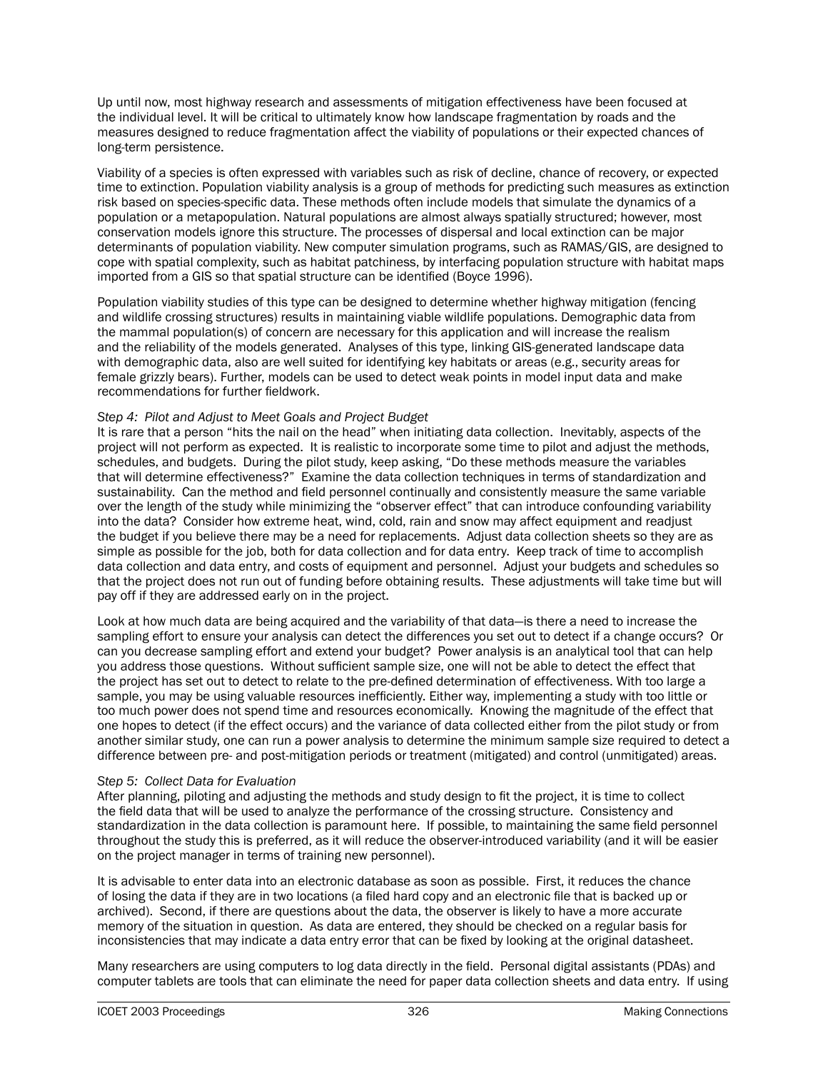Up until now, most highway research and assessments of mitigation effectiveness have been focused at the individual level. It will be critical to ultimately know how landscape fragmentation by roads and the measures designed to reduce fragmentation affect the viability of populations or their expected chances of long-term persistence.

Viability of a species is often expressed with variables such as risk of decline, chance of recovery, or expected time to extinction. Population viability analysis is a group of methods for predicting such measures as extinction risk based on species-specific data. These methods often include models that simulate the dynamics of a population or a metapopulation. Natural populations are almost always spatially structured; however, most conservation models ignore this structure. The processes of dispersal and local extinction can be major determinants of population viability. New computer simulation programs, such as RAMAS/GIS, are designed to cope with spatial complexity, such as habitat patchiness, by interfacing population structure with habitat maps imported from a GIS so that spatial structure can be identified (Boyce 1996).

Population viability studies of this type can be designed to determine whether highway mitigation (fencing and wildlife crossing structures) results in maintaining viable wildlife populations. Demographic data from the mammal population(s) of concern are necessary for this application and will increase the realism and the reliability of the models generated. Analyses of this type, linking GIS-generated landscape data with demographic data, also are well suited for identifying key habitats or areas (e.g., security areas for female grizzly bears). Further, models can be used to detect weak points in model input data and make recommendations for further fieldwork.

## *Step 4: Pilot and Adjust to Meet Goals and Project Budget*

It is rare that a person "hits the nail on the head" when initiating data collection. Inevitably, aspects of the project will not perform as expected. It is realistic to incorporate some time to pilot and adjust the methods, schedules, and budgets. During the pilot study, keep asking, "Do these methods measure the variables that will determine effectiveness?" Examine the data collection techniques in terms of standardization and sustainability. Can the method and field personnel continually and consistently measure the same variable over the length of the study while minimizing the "observer effect" that can introduce confounding variability into the data? Consider how extreme heat, wind, cold, rain and snow may affect equipment and readjust the budget if you believe there may be a need for replacements. Adjust data collection sheets so they are as simple as possible for the job, both for data collection and for data entry. Keep track of time to accomplish data collection and data entry, and costs of equipment and personnel. Adjust your budgets and schedules so that the project does not run out of funding before obtaining results. These adjustments will take time but will pay off if they are addressed early on in the project.

Look at how much data are being acquired and the variability of that data—is there a need to increase the sampling effort to ensure your analysis can detect the differences you set out to detect if a change occurs? Or can you decrease sampling effort and extend your budget? Power analysis is an analytical tool that can help you address those questions. Without sufficient sample size, one will not be able to detect the effect that the project has set out to detect to relate to the pre-defined determination of effectiveness. With too large a sample, you may be using valuable resources inefficiently. Either way, implementing a study with too little or too much power does not spend time and resources economically. Knowing the magnitude of the effect that one hopes to detect (if the effect occurs) and the variance of data collected either from the pilot study or from another similar study, one can run a power analysis to determine the minimum sample size required to detect a difference between pre- and post-mitigation periods or treatment (mitigated) and control (unmitigated) areas.

## *Step 5: Collect Data for Evaluation*

After planning, piloting and adjusting the methods and study design to fit the project, it is time to collect the field data that will be used to analyze the performance of the crossing structure. Consistency and standardization in the data collection is paramount here. If possible, to maintaining the same field personnel throughout the study this is preferred, as it will reduce the observer-introduced variability (and it will be easier on the project manager in terms of training new personnel).

It is advisable to enter data into an electronic database as soon as possible. First, it reduces the chance of losing the data if they are in two locations (a filed hard copy and an electronic file that is backed up or archived). Second, if there are questions about the data, the observer is likely to have a more accurate memory of the situation in question. As data are entered, they should be checked on a regular basis for inconsistencies that may indicate a data entry error that can be fixed by looking at the original datasheet.

Many researchers are using computers to log data directly in the field. Personal digital assistants (PDAs) and computer tablets are tools that can eliminate the need for paper data collection sheets and data entry. If using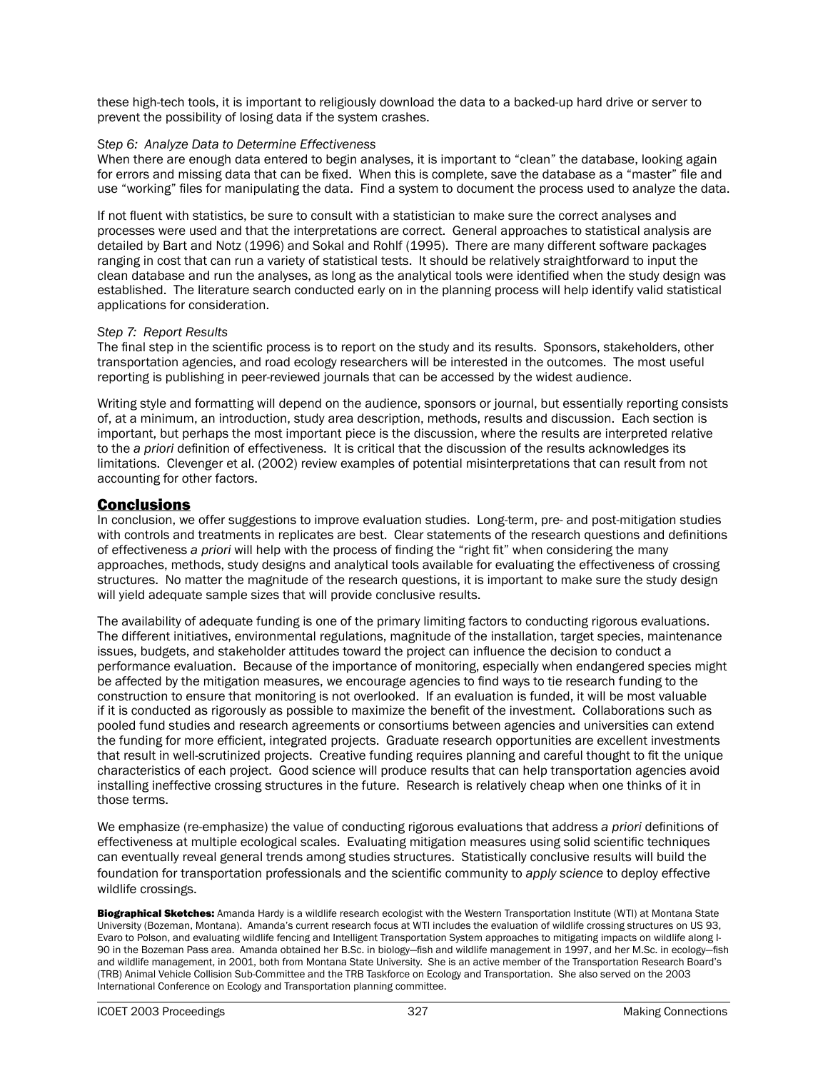these high-tech tools, it is important to religiously download the data to a backed-up hard drive or server to prevent the possibility of losing data if the system crashes.

#### *Step 6: Analyze Data to Determine Effectiveness*

When there are enough data entered to begin analyses, it is important to "clean" the database, looking again for errors and missing data that can be fixed. When this is complete, save the database as a "master" file and use "working" files for manipulating the data. Find a system to document the process used to analyze the data.

If not fluent with statistics, be sure to consult with a statistician to make sure the correct analyses and processes were used and that the interpretations are correct. General approaches to statistical analysis are detailed by Bart and Notz (1996) and Sokal and Rohlf (1995). There are many different software packages ranging in cost that can run a variety of statistical tests. It should be relatively straightforward to input the clean database and run the analyses, as long as the analytical tools were identified when the study design was established. The literature search conducted early on in the planning process will help identify valid statistical applications for consideration.

#### *Step 7: Report Results*

The final step in the scientific process is to report on the study and its results. Sponsors, stakeholders, other transportation agencies, and road ecology researchers will be interested in the outcomes. The most useful reporting is publishing in peer-reviewed journals that can be accessed by the widest audience.

Writing style and formatting will depend on the audience, sponsors or journal, but essentially reporting consists of, at a minimum, an introduction, study area description, methods, results and discussion. Each section is important, but perhaps the most important piece is the discussion, where the results are interpreted relative to the *a priori* definition of effectiveness. It is critical that the discussion of the results acknowledges its limitations. Clevenger et al. (2002) review examples of potential misinterpretations that can result from not accounting for other factors.

## **Conclusions**

In conclusion, we offer suggestions to improve evaluation studies. Long-term, pre- and post-mitigation studies with controls and treatments in replicates are best. Clear statements of the research questions and definitions of effectiveness *a priori* will help with the process of finding the "right fit" when considering the many approaches, methods, study designs and analytical tools available for evaluating the effectiveness of crossing structures. No matter the magnitude of the research questions, it is important to make sure the study design will yield adequate sample sizes that will provide conclusive results.

The availability of adequate funding is one of the primary limiting factors to conducting rigorous evaluations. The different initiatives, environmental regulations, magnitude of the installation, target species, maintenance issues, budgets, and stakeholder attitudes toward the project can influence the decision to conduct a performance evaluation. Because of the importance of monitoring, especially when endangered species might be affected by the mitigation measures, we encourage agencies to find ways to tie research funding to the construction to ensure that monitoring is not overlooked. If an evaluation is funded, it will be most valuable if it is conducted as rigorously as possible to maximize the benefit of the investment. Collaborations such as pooled fund studies and research agreements or consortiums between agencies and universities can extend the funding for more efficient, integrated projects. Graduate research opportunities are excellent investments that result in well-scrutinized projects. Creative funding requires planning and careful thought to fit the unique characteristics of each project. Good science will produce results that can help transportation agencies avoid installing ineffective crossing structures in the future. Research is relatively cheap when one thinks of it in those terms.

We emphasize (re-emphasize) the value of conducting rigorous evaluations that address *a priori* definitions of effectiveness at multiple ecological scales. Evaluating mitigation measures using solid scientific techniques can eventually reveal general trends among studies structures. Statistically conclusive results will build the foundation for transportation professionals and the scientific community to *apply science* to deploy effective wildlife crossings.

Biographical Sketches: Amanda Hardy is a wildlife research ecologist with the Western Transportation Institute (WTI) at Montana State University (Bozeman, Montana). Amanda's current research focus at WTI includes the evaluation of wildlife crossing structures on US 93, Evaro to Polson, and evaluating wildlife fencing and Intelligent Transportation System approaches to mitigating impacts on wildlife along I-90 in the Bozeman Pass area. Amanda obtained her B.Sc. in biology—fish and wildlife management in 1997, and her M.Sc. in ecology—fish and wildlife management, in 2001, both from Montana State University. She is an active member of the Transportation Research Board's (TRB) Animal Vehicle Collision Sub-Committee and the TRB Taskforce on Ecology and Transportation. She also served on the 2003 International Conference on Ecology and Transportation planning committee.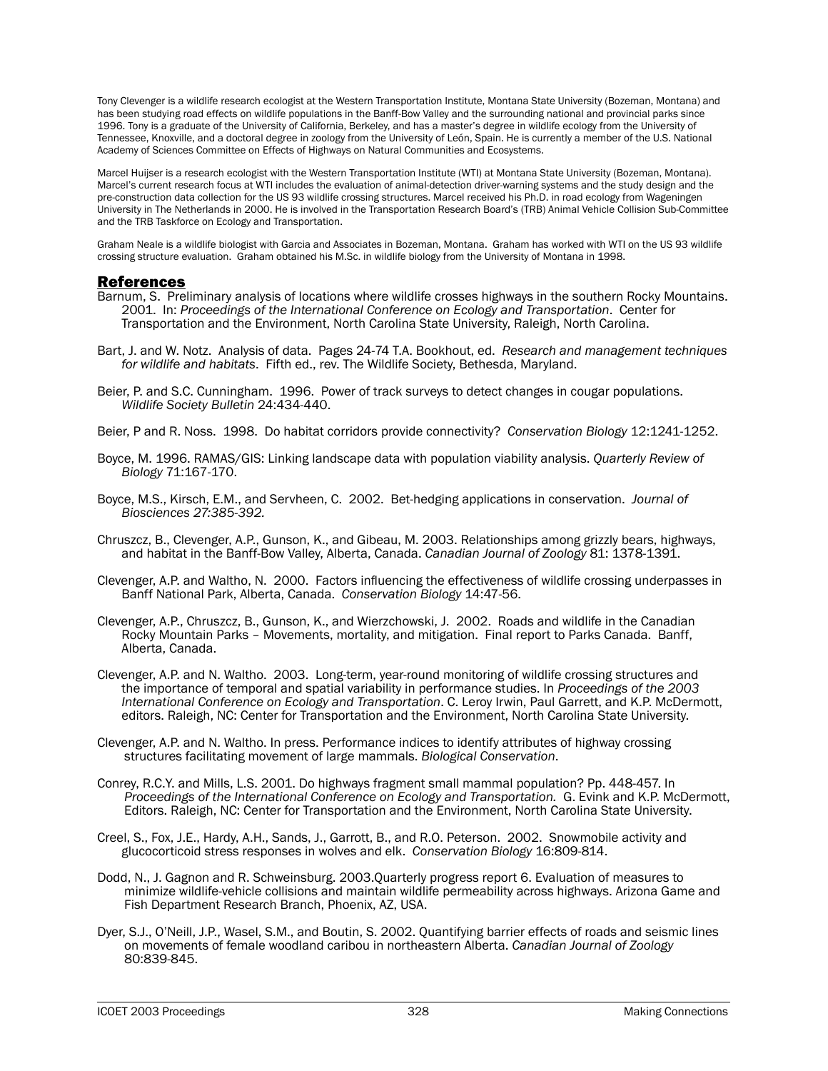Tony Clevenger is a wildlife research ecologist at the Western Transportation Institute, Montana State University (Bozeman, Montana) and has been studying road effects on wildlife populations in the Banff-Bow Valley and the surrounding national and provincial parks since 1996. Tony is a graduate of the University of California, Berkeley, and has a master's degree in wildlife ecology from the University of Tennessee, Knoxville, and a doctoral degree in zoology from the University of León, Spain. He is currently a member of the U.S. National Academy of Sciences Committee on Effects of Highways on Natural Communities and Ecosystems.

Marcel Huijser is a research ecologist with the Western Transportation Institute (WTI) at Montana State University (Bozeman, Montana). Marcel's current research focus at WTI includes the evaluation of animal-detection driver-warning systems and the study design and the pre-construction data collection for the US 93 wildlife crossing structures. Marcel received his Ph.D. in road ecology from Wageningen University in The Netherlands in 2000. He is involved in the Transportation Research Board's (TRB) Animal Vehicle Collision Sub-Committee and the TRB Taskforce on Ecology and Transportation.

Graham Neale is a wildlife biologist with Garcia and Associates in Bozeman, Montana. Graham has worked with WTI on the US 93 wildlife crossing structure evaluation. Graham obtained his M.Sc. in wildlife biology from the University of Montana in 1998.

## References

- Barnum, S. Preliminary analysis of locations where wildlife crosses highways in the southern Rocky Mountains. 2001. In: *Proceedings of the International Conference on Ecology and Transportation*. Center for Transportation and the Environment, North Carolina State University, Raleigh, North Carolina.
- Bart, J. and W. Notz. Analysis of data. Pages 24-74 T.A. Bookhout, ed. *Research and management techniques for wildlife and habitats*. Fifth ed., rev. The Wildlife Society, Bethesda, Maryland.
- Beier, P. and S.C. Cunningham. 1996. Power of track surveys to detect changes in cougar populations. *Wildlife Society Bulletin* 24:434-440.
- Beier, P and R. Noss. 1998. Do habitat corridors provide connectivity? *Conservation Biology* 12:1241-1252.
- Boyce, M. 1996. RAMAS/GIS: Linking landscape data with population viability analysis. *Quarterly Review of Biology* 71:167-170.
- Boyce, M.S., Kirsch, E.M., and Servheen, C. 2002. Bet-hedging applications in conservation. *Journal of Biosciences 27:385-392.*
- Chruszcz, B., Clevenger, A.P., Gunson, K., and Gibeau, M. 2003. Relationships among grizzly bears, highways, and habitat in the Banff-Bow Valley, Alberta, Canada. *Canadian Journal of Zoology* 81: 1378-1391.
- Clevenger, A.P. and Waltho, N. 2000. Factors influencing the effectiveness of wildlife crossing underpasses in Banff National Park, Alberta, Canada. *Conservation Biology* 14:47-56.
- Clevenger, A.P., Chruszcz, B., Gunson, K., and Wierzchowski, J. 2002. Roads and wildlife in the Canadian Rocky Mountain Parks – Movements, mortality, and mitigation. Final report to Parks Canada. Banff, Alberta, Canada.
- Clevenger, A.P. and N. Waltho. 2003. Long-term, year-round monitoring of wildlife crossing structures and the importance of temporal and spatial variability in performance studies. In *Proceedings of the 2003 International Conference on Ecology and Transportation*. C. Leroy Irwin, Paul Garrett, and K.P. McDermott, editors. Raleigh, NC: Center for Transportation and the Environment, North Carolina State University.
- Clevenger, A.P. and N. Waltho. In press. Performance indices to identify attributes of highway crossing structures facilitating movement of large mammals. *Biological Conservation*.
- Conrey, R.C.Y. and Mills, L.S. 2001. Do highways fragment small mammal population? Pp. 448-457. In *Proceedings of the International Conference on Ecology and Transportation.* G. Evink and K.P. McDermott, Editors. Raleigh, NC: Center for Transportation and the Environment, North Carolina State University.
- Creel, S., Fox, J.E., Hardy, A.H., Sands, J., Garrott, B., and R.O. Peterson. 2002. Snowmobile activity and glucocorticoid stress responses in wolves and elk. *Conservation Biology* 16:809-814.
- Dodd, N., J. Gagnon and R. Schweinsburg. 2003.Quarterly progress report 6. Evaluation of measures to minimize wildlife-vehicle collisions and maintain wildlife permeability across highways. Arizona Game and Fish Department Research Branch, Phoenix, AZ, USA.
- Dyer, S.J., O'Neill, J.P., Wasel, S.M., and Boutin, S. 2002. Quantifying barrier effects of roads and seismic lines on movements of female woodland caribou in northeastern Alberta. *Canadian Journal of Zoology* 80:839-845.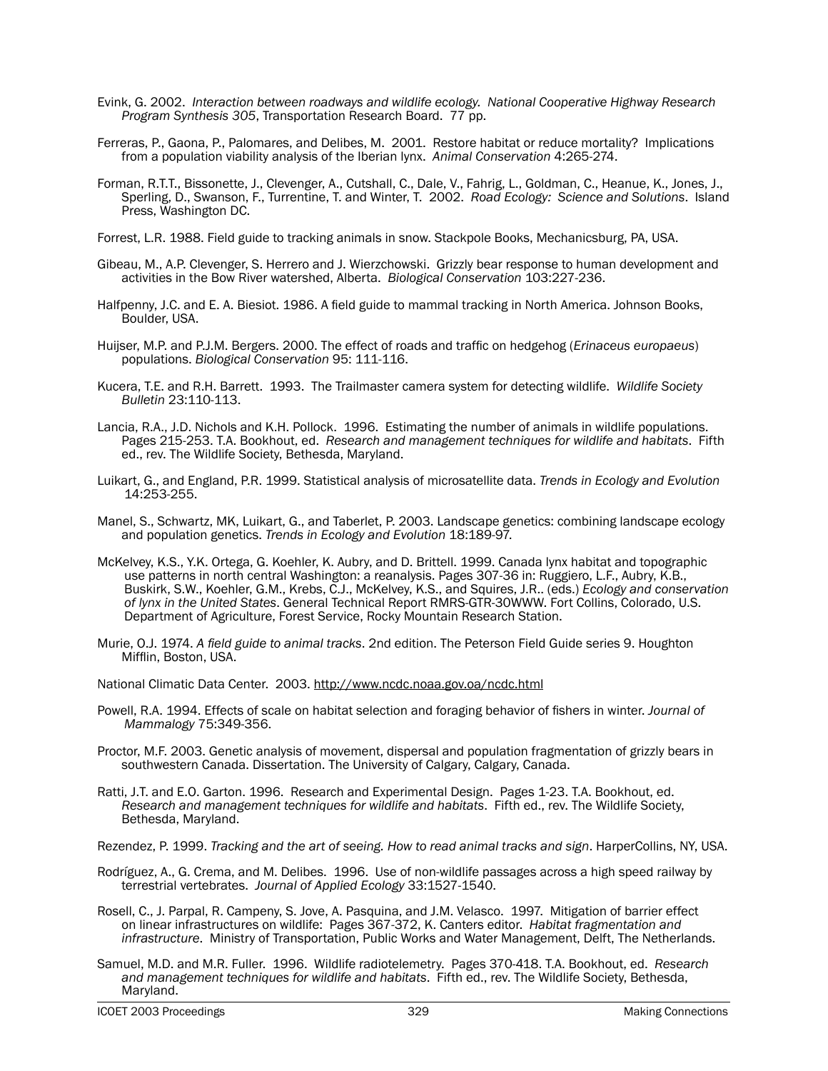- Evink, G. 2002. *Interaction between roadways and wildlife ecology. National Cooperative Highway Research Program Synthesis 305*, Transportation Research Board. 77 pp.
- Ferreras, P., Gaona, P., Palomares, and Delibes, M. 2001. Restore habitat or reduce mortality? Implications from a population viability analysis of the Iberian lynx. *Animal Conservation* 4:265-274.
- Forman, R.T.T., Bissonette, J., Clevenger, A., Cutshall, C., Dale, V., Fahrig, L., Goldman, C., Heanue, K., Jones, J., Sperling, D., Swanson, F., Turrentine, T. and Winter, T. 2002. *Road Ecology: Science and Solutions*. Island Press, Washington DC.
- Forrest, L.R. 1988. Field guide to tracking animals in snow. Stackpole Books, Mechanicsburg, PA, USA.
- Gibeau, M., A.P. Clevenger, S. Herrero and J. Wierzchowski. Grizzly bear response to human development and activities in the Bow River watershed, Alberta. *Biological Conservation* 103:227-236.
- Halfpenny, J.C. and E. A. Biesiot. 1986. A field guide to mammal tracking in North America. Johnson Books, Boulder, USA.
- Huijser, M.P. and P.J.M. Bergers. 2000. The effect of roads and traffic on hedgehog (*Erinaceus europaeus*) populations. *Biological Conservation* 95: 111-116.
- Kucera, T.E. and R.H. Barrett. 1993. The Trailmaster camera system for detecting wildlife. *Wildlife Society Bulletin* 23:110-113.
- Lancia, R.A., J.D. Nichols and K.H. Pollock. 1996. Estimating the number of animals in wildlife populations. Pages 215-253. T.A. Bookhout, ed. *Research and management techniques for wildlife and habitats*. Fifth ed., rev. The Wildlife Society, Bethesda, Maryland.
- Luikart, G., and England, P.R. 1999. Statistical analysis of microsatellite data. *Trends in Ecology and Evolution* 14:253-255.
- Manel, S., Schwartz, MK, Luikart, G., and Taberlet, P. 2003. Landscape genetics: combining landscape ecology and population genetics. *Trends in Ecology and Evolution* 18:189-97.
- McKelvey, K.S., Y.K. Ortega, G. Koehler, K. Aubry, and D. Brittell. 1999. Canada lynx habitat and topographic use patterns in north central Washington: a reanalysis. Pages 307-36 in: Ruggiero, L.F., Aubry, K.B., Buskirk, S.W., Koehler, G.M., Krebs, C.J., McKelvey, K.S., and Squires, J.R.. (eds.) *Ecology and conservation of lynx in the United States*. General Technical Report RMRS-GTR-30WWW. Fort Collins, Colorado, U.S. Department of Agriculture, Forest Service, Rocky Mountain Research Station.
- Murie, O.J. 1974. *A field guide to animal tracks*. 2nd edition. The Peterson Field Guide series 9. Houghton Mifflin, Boston, USA.

National Climatic Data Center. 2003. http://www.ncdc.noaa.gov.oa/ncdc.html

- Powell, R.A. 1994. Effects of scale on habitat selection and foraging behavior of fishers in winter. *Journal of Mammalogy* 75:349-356.
- Proctor, M.F. 2003. Genetic analysis of movement, dispersal and population fragmentation of grizzly bears in southwestern Canada. Dissertation. The University of Calgary, Calgary, Canada.
- Ratti, J.T. and E.O. Garton. 1996. Research and Experimental Design. Pages 1-23. T.A. Bookhout, ed. *Research and management techniques for wildlife and habitats*. Fifth ed., rev. The Wildlife Society, Bethesda, Maryland.
- Rezendez, P. 1999. *Tracking and the art of seeing. How to read animal tracks and sign*. HarperCollins, NY, USA.

Rodríguez, A., G. Crema, and M. Delibes. 1996. Use of non-wildlife passages across a high speed railway by terrestrial vertebrates. *Journal of Applied Ecology* 33:1527-1540.

- Rosell, C., J. Parpal, R. Campeny, S. Jove, A. Pasquina, and J.M. Velasco. 1997. Mitigation of barrier effect on linear infrastructures on wildlife: Pages 367-372, K. Canters editor. *Habitat fragmentation and infrastructure*. Ministry of Transportation, Public Works and Water Management, Delft, The Netherlands.
- Samuel, M.D. and M.R. Fuller. 1996. Wildlife radiotelemetry. Pages 370-418. T.A. Bookhout, ed. *Research and management techniques for wildlife and habitats*. Fifth ed., rev. The Wildlife Society, Bethesda, Maryland.